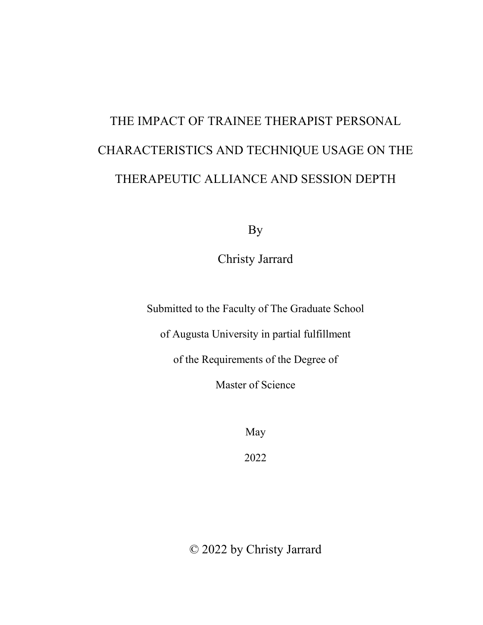# THE IMPACT OF TRAINEE THERAPIST PERSONAL CHARACTERISTICS AND TECHNIQUE USAGE ON THE THERAPEUTIC ALLIANCE AND SESSION DEPTH

By

Christy Jarrard

Submitted to the Faculty of The Graduate School

of Augusta University in partial fulfillment

of the Requirements of the Degree of

Master of Science

May

2022

© 2022 by Christy Jarrard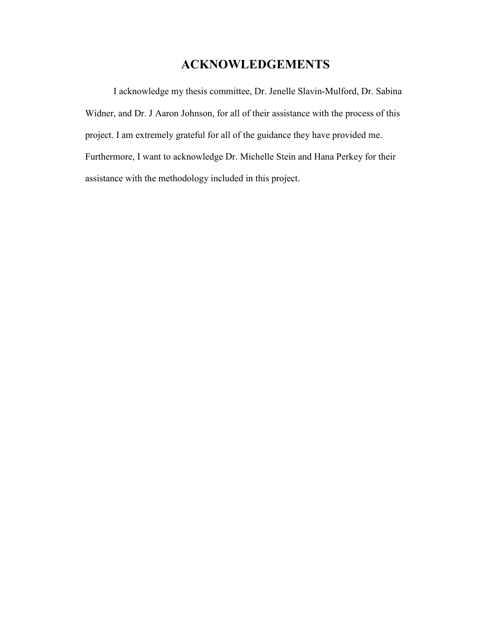## **ACKNOWLEDGEMENTS**

I acknowledge my thesis committee, Dr. Jenelle Slavin-Mulford, Dr. Sabina Widner, and Dr. J Aaron Johnson, for all of their assistance with the process of this project. I am extremely grateful for all of the guidance they have provided me. Furthermore, I want to acknowledge Dr. Michelle Stein and Hana Perkey for their assistance with the methodology included in this project.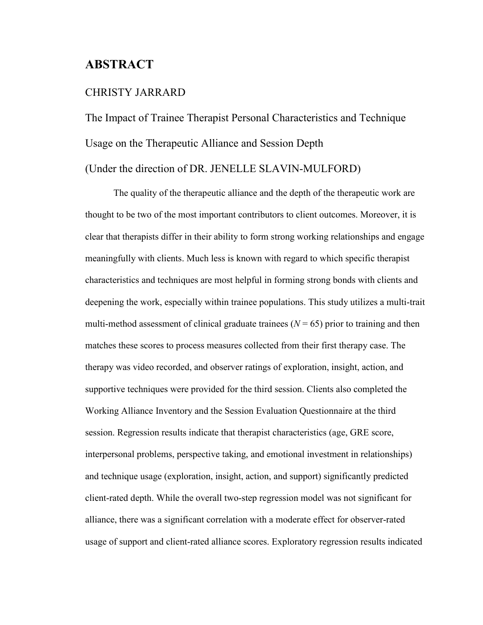## **ABSTRACT**

#### CHRISTY JARRARD

The Impact of Trainee Therapist Personal Characteristics and Technique Usage on the Therapeutic Alliance and Session Depth (Under the direction of DR. JENELLE SLAVIN-MULFORD)

The quality of the therapeutic alliance and the depth of the therapeutic work are thought to be two of the most important contributors to client outcomes. Moreover, it is clear that therapists differ in their ability to form strong working relationships and engage meaningfully with clients. Much less is known with regard to which specific therapist characteristics and techniques are most helpful in forming strong bonds with clients and deepening the work, especially within trainee populations. This study utilizes a multi-trait multi-method assessment of clinical graduate trainees  $(N = 65)$  prior to training and then matches these scores to process measures collected from their first therapy case. The therapy was video recorded, and observer ratings of exploration, insight, action, and supportive techniques were provided for the third session. Clients also completed the Working Alliance Inventory and the Session Evaluation Questionnaire at the third session. Regression results indicate that therapist characteristics (age, GRE score, interpersonal problems, perspective taking, and emotional investment in relationships) and technique usage (exploration, insight, action, and support) significantly predicted client-rated depth. While the overall two-step regression model was not significant for alliance, there was a significant correlation with a moderate effect for observer-rated usage of support and client-rated alliance scores. Exploratory regression results indicated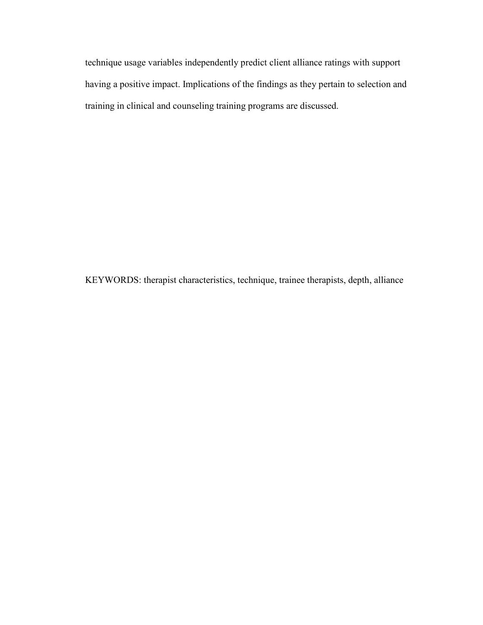technique usage variables independently predict client alliance ratings with support having a positive impact. Implications of the findings as they pertain to selection and training in clinical and counseling training programs are discussed.

KEYWORDS: therapist characteristics, technique, trainee therapists, depth, alliance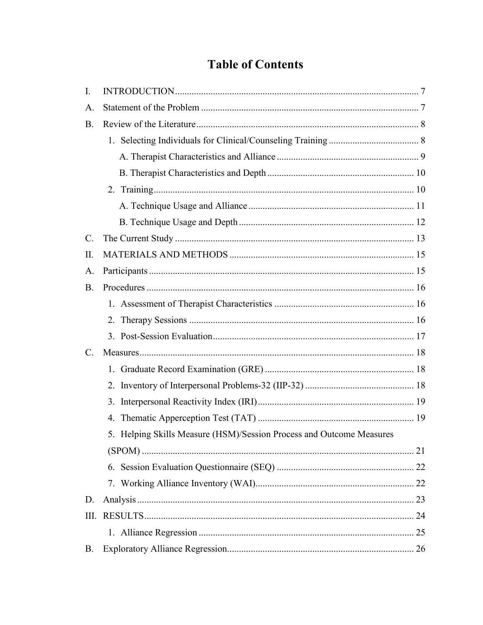## **Table of Contents**

| I.             |                                                                      |
|----------------|----------------------------------------------------------------------|
| Α.             |                                                                      |
| <b>B.</b>      |                                                                      |
|                |                                                                      |
|                |                                                                      |
|                |                                                                      |
|                |                                                                      |
|                |                                                                      |
|                |                                                                      |
| $\mathbf{C}$ . |                                                                      |
| II.            |                                                                      |
| A.             |                                                                      |
| <b>B.</b>      |                                                                      |
|                |                                                                      |
|                |                                                                      |
|                |                                                                      |
| C <sub>1</sub> |                                                                      |
|                |                                                                      |
|                |                                                                      |
|                |                                                                      |
|                |                                                                      |
|                | 5. Helping Skills Measure (HSM)/Session Process and Outcome Measures |
|                |                                                                      |
|                |                                                                      |
|                |                                                                      |
| D.             |                                                                      |
| III.           |                                                                      |
|                |                                                                      |
| <b>B.</b>      |                                                                      |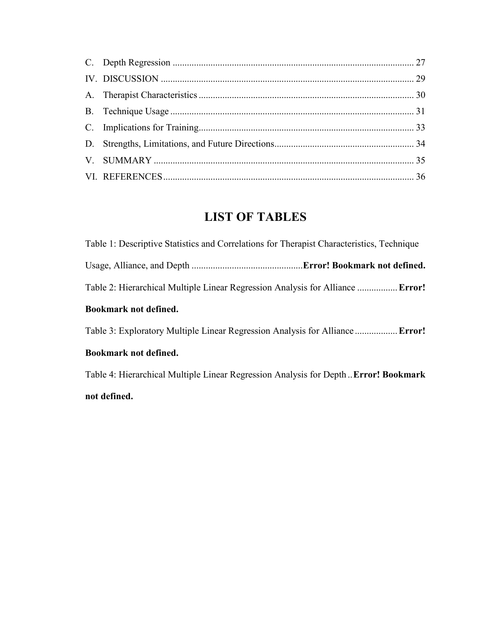## **LIST OF TABLES**

| Table 1: Descriptive Statistics and Correlations for Therapist Characteristics, Technique |  |
|-------------------------------------------------------------------------------------------|--|
|                                                                                           |  |
| Table 2: Hierarchical Multiple Linear Regression Analysis for Alliance  Error!            |  |
| Bookmark not defined.                                                                     |  |
| Table 3: Exploratory Multiple Linear Regression Analysis for Alliance  Error!             |  |
|                                                                                           |  |

## **Bookmark not defined.**

Table 4: Hierarchical Multiple Linear Regression Analysis for Depth ..**Error! Bookmark not defined.**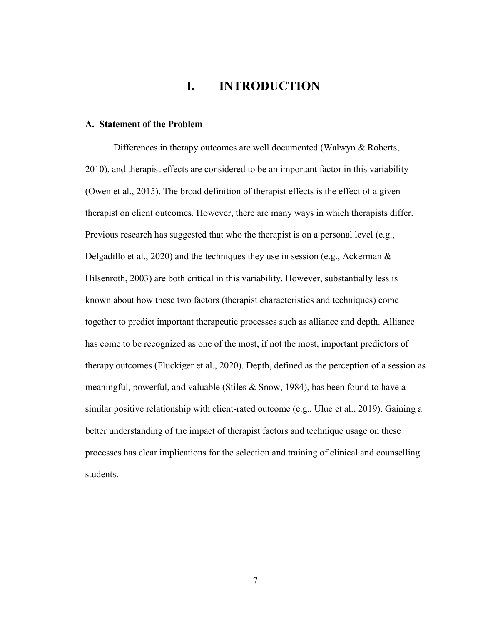## **I. INTRODUCTION**

#### <span id="page-6-1"></span><span id="page-6-0"></span>**A. Statement of the Problem**

Differences in therapy outcomes are well documented (Walwyn & Roberts, 2010), and therapist effects are considered to be an important factor in this variability (Owen et al., 2015). The broad definition of therapist effects is the effect of a given therapist on client outcomes. However, there are many ways in which therapists differ. Previous research has suggested that who the therapist is on a personal level (e.g., Delgadillo et al., 2020) and the techniques they use in session (e.g., Ackerman  $\&$ Hilsenroth, 2003) are both critical in this variability. However, substantially less is known about how these two factors (therapist characteristics and techniques) come together to predict important therapeutic processes such as alliance and depth. Alliance has come to be recognized as one of the most, if not the most, important predictors of therapy outcomes (Fluckiger et al., 2020). Depth, defined as the perception of a session as meaningful, powerful, and valuable (Stiles  $\&$  Snow, 1984), has been found to have a similar positive relationship with client-rated outcome (e.g., Uluc et al., 2019). Gaining a better understanding of the impact of therapist factors and technique usage on these processes has clear implications for the selection and training of clinical and counselling students.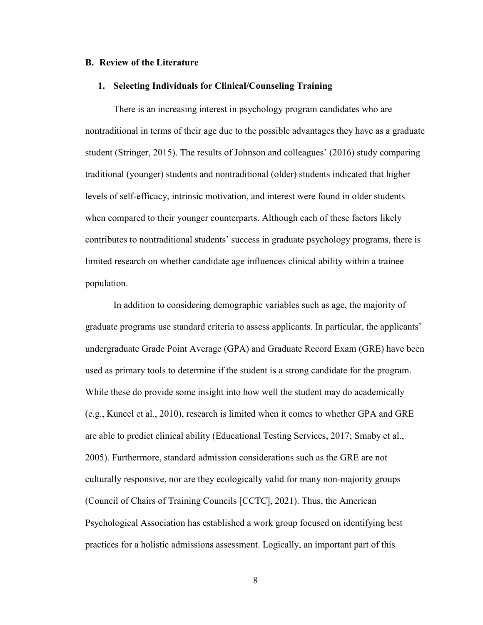#### <span id="page-7-0"></span>**B. Review of the Literature**

#### <span id="page-7-1"></span>**1. Selecting Individuals for Clinical/Counseling Training**

There is an increasing interest in psychology program candidates who are nontraditional in terms of their age due to the possible advantages they have as a graduate student (Stringer, 2015). The results of Johnson and colleagues' (2016) study comparing traditional (younger) students and nontraditional (older) students indicated that higher levels of self-efficacy, intrinsic motivation, and interest were found in older students when compared to their younger counterparts. Although each of these factors likely contributes to nontraditional students' success in graduate psychology programs, there is limited research on whether candidate age influences clinical ability within a trainee population.

In addition to considering demographic variables such as age, the majority of graduate programs use standard criteria to assess applicants. In particular, the applicants' undergraduate Grade Point Average (GPA) and Graduate Record Exam (GRE) have been used as primary tools to determine if the student is a strong candidate for the program. While these do provide some insight into how well the student may do academically (e.g., Kuncel et al., 2010), research is limited when it comes to whether GPA and GRE are able to predict clinical ability (Educational Testing Services, 2017; Smaby et al., 2005). Furthermore, standard admission considerations such as the GRE are not culturally responsive, nor are they ecologically valid for many non-majority groups (Council of Chairs of Training Councils [CCTC], 2021). Thus, the American Psychological Association has established a work group focused on identifying best practices for a holistic admissions assessment. Logically, an important part of this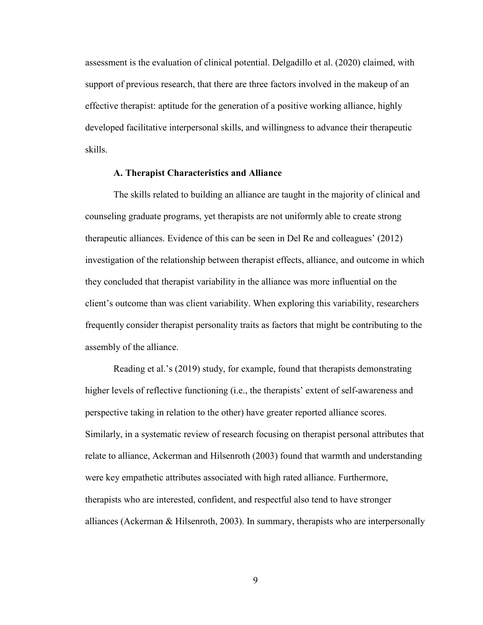assessment is the evaluation of clinical potential. Delgadillo et al. (2020) claimed, with support of previous research, that there are three factors involved in the makeup of an effective therapist: aptitude for the generation of a positive working alliance, highly developed facilitative interpersonal skills, and willingness to advance their therapeutic skills.

#### **A. Therapist Characteristics and Alliance**

<span id="page-8-0"></span>The skills related to building an alliance are taught in the majority of clinical and counseling graduate programs, yet therapists are not uniformly able to create strong therapeutic alliances. Evidence of this can be seen in Del Re and colleagues' (2012) investigation of the relationship between therapist effects, alliance, and outcome in which they concluded that therapist variability in the alliance was more influential on the client's outcome than was client variability. When exploring this variability, researchers frequently consider therapist personality traits as factors that might be contributing to the assembly of the alliance.

Reading et al.'s (2019) study, for example, found that therapists demonstrating higher levels of reflective functioning (i.e., the therapists' extent of self-awareness and perspective taking in relation to the other) have greater reported alliance scores. Similarly, in a systematic review of research focusing on therapist personal attributes that relate to alliance, Ackerman and Hilsenroth (2003) found that warmth and understanding were key empathetic attributes associated with high rated alliance. Furthermore, therapists who are interested, confident, and respectful also tend to have stronger alliances (Ackerman & Hilsenroth, 2003). In summary, therapists who are interpersonally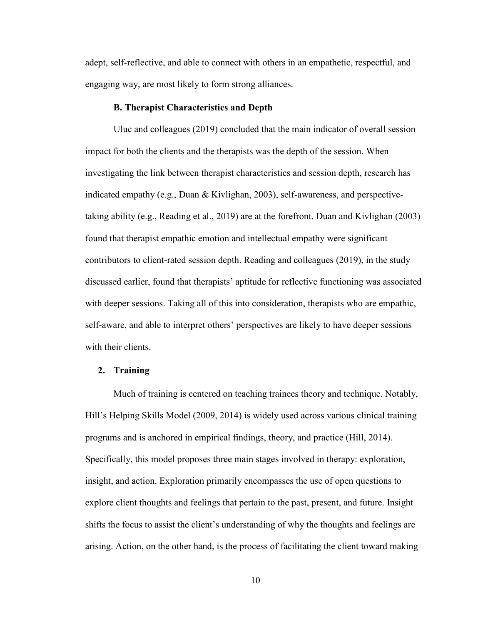adept, self-reflective, and able to connect with others in an empathetic, respectful, and engaging way, are most likely to form strong alliances.

#### **B. Therapist Characteristics and Depth**

<span id="page-9-0"></span>Uluc and colleagues (2019) concluded that the main indicator of overall session impact for both the clients and the therapists was the depth of the session. When investigating the link between therapist characteristics and session depth, research has indicated empathy (e.g., Duan & Kivlighan, 2003), self-awareness, and perspectivetaking ability (e.g., Reading et al., 2019) are at the forefront. Duan and Kivlighan (2003) found that therapist empathic emotion and intellectual empathy were significant contributors to client-rated session depth. Reading and colleagues (2019), in the study discussed earlier, found that therapists' aptitude for reflective functioning was associated with deeper sessions. Taking all of this into consideration, therapists who are empathic, self-aware, and able to interpret others' perspectives are likely to have deeper sessions with their clients.

#### <span id="page-9-1"></span>**2. Training**

Much of training is centered on teaching trainees theory and technique. Notably, Hill's Helping Skills Model (2009, 2014) is widely used across various clinical training programs and is anchored in empirical findings, theory, and practice (Hill, 2014). Specifically, this model proposes three main stages involved in therapy: exploration, insight, and action. Exploration primarily encompasses the use of open questions to explore client thoughts and feelings that pertain to the past, present, and future. Insight shifts the focus to assist the client's understanding of why the thoughts and feelings are arising. Action, on the other hand, is the process of facilitating the client toward making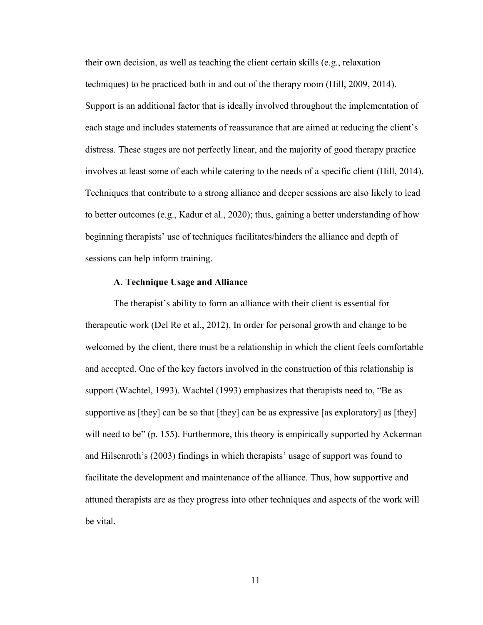their own decision, as well as teaching the client certain skills (e.g., relaxation techniques) to be practiced both in and out of the therapy room (Hill, 2009, 2014). Support is an additional factor that is ideally involved throughout the implementation of each stage and includes statements of reassurance that are aimed at reducing the client's distress. These stages are not perfectly linear, and the majority of good therapy practice involves at least some of each while catering to the needs of a specific client (Hill, 2014). Techniques that contribute to a strong alliance and deeper sessions are also likely to lead to better outcomes (e.g., Kadur et al., 2020); thus, gaining a better understanding of how beginning therapists' use of techniques facilitates/hinders the alliance and depth of sessions can help inform training.

#### **A. Technique Usage and Alliance**

<span id="page-10-0"></span>The therapist's ability to form an alliance with their client is essential for therapeutic work (Del Re et al., 2012). In order for personal growth and change to be welcomed by the client, there must be a relationship in which the client feels comfortable and accepted. One of the key factors involved in the construction of this relationship is support (Wachtel, 1993). Wachtel (1993) emphasizes that therapists need to, "Be as supportive as [they] can be so that [they] can be as expressive [as exploratory] as [they] will need to be" (p. 155). Furthermore, this theory is empirically supported by Ackerman and Hilsenroth's (2003) findings in which therapists' usage of support was found to facilitate the development and maintenance of the alliance. Thus, how supportive and attuned therapists are as they progress into other techniques and aspects of the work will be vital.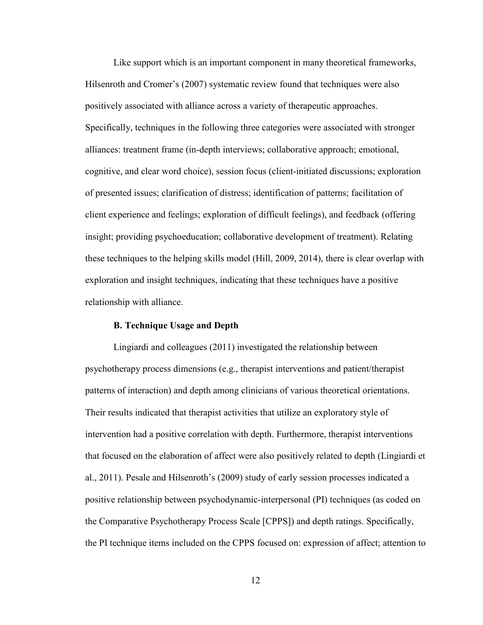Like support which is an important component in many theoretical frameworks, Hilsenroth and Cromer's (2007) systematic review found that techniques were also positively associated with alliance across a variety of therapeutic approaches. Specifically, techniques in the following three categories were associated with stronger alliances: treatment frame (in-depth interviews; collaborative approach; emotional, cognitive, and clear word choice), session focus (client-initiated discussions; exploration of presented issues; clarification of distress; identification of patterns; facilitation of client experience and feelings; exploration of difficult feelings), and feedback (offering insight; providing psychoeducation; collaborative development of treatment). Relating these techniques to the helping skills model (Hill, 2009, 2014), there is clear overlap with exploration and insight techniques, indicating that these techniques have a positive relationship with alliance.

#### **B. Technique Usage and Depth**

<span id="page-11-0"></span>Lingiardi and colleagues (2011) investigated the relationship between psychotherapy process dimensions (e.g., therapist interventions and patient/therapist patterns of interaction) and depth among clinicians of various theoretical orientations. Their results indicated that therapist activities that utilize an exploratory style of intervention had a positive correlation with depth. Furthermore, therapist interventions that focused on the elaboration of affect were also positively related to depth (Lingiardi et al., 2011). Pesale and Hilsenroth's (2009) study of early session processes indicated a positive relationship between psychodynamic-interpersonal (PI) techniques (as coded on the Comparative Psychotherapy Process Scale [CPPS]) and depth ratings. Specifically, the PI technique items included on the CPPS focused on: expression of affect; attention to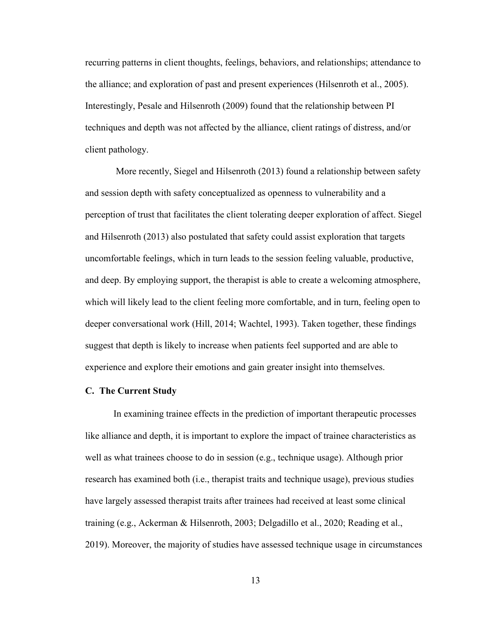recurring patterns in client thoughts, feelings, behaviors, and relationships; attendance to the alliance; and exploration of past and present experiences (Hilsenroth et al., 2005). Interestingly, Pesale and Hilsenroth (2009) found that the relationship between PI techniques and depth was not affected by the alliance, client ratings of distress, and/or client pathology.

More recently, Siegel and Hilsenroth (2013) found a relationship between safety and session depth with safety conceptualized as openness to vulnerability and a perception of trust that facilitates the client tolerating deeper exploration of affect. Siegel and Hilsenroth (2013) also postulated that safety could assist exploration that targets uncomfortable feelings, which in turn leads to the session feeling valuable, productive, and deep. By employing support, the therapist is able to create a welcoming atmosphere, which will likely lead to the client feeling more comfortable, and in turn, feeling open to deeper conversational work (Hill, 2014; Wachtel, 1993). Taken together, these findings suggest that depth is likely to increase when patients feel supported and are able to experience and explore their emotions and gain greater insight into themselves.

#### <span id="page-12-0"></span>**C. The Current Study**

In examining trainee effects in the prediction of important therapeutic processes like alliance and depth, it is important to explore the impact of trainee characteristics as well as what trainees choose to do in session (e.g., technique usage). Although prior research has examined both (i.e., therapist traits and technique usage), previous studies have largely assessed therapist traits after trainees had received at least some clinical training (e.g., Ackerman & Hilsenroth, 2003; Delgadillo et al., 2020; Reading et al., 2019). Moreover, the majority of studies have assessed technique usage in circumstances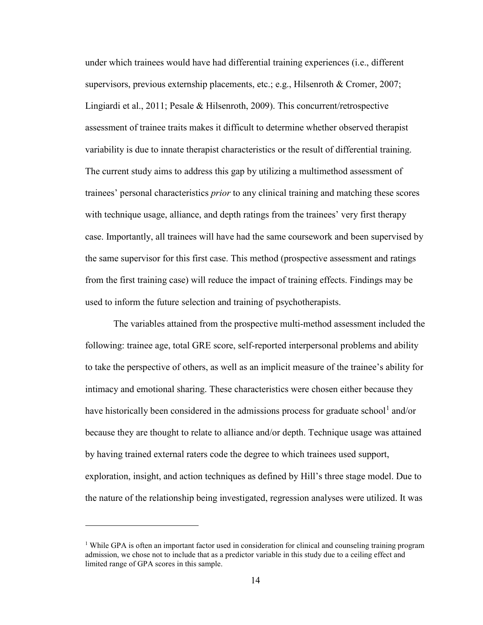under which trainees would have had differential training experiences (i.e., different supervisors, previous externship placements, etc.; e.g., Hilsenroth & Cromer, 2007; Lingiardi et al., 2011; Pesale & Hilsenroth, 2009). This concurrent/retrospective assessment of trainee traits makes it difficult to determine whether observed therapist variability is due to innate therapist characteristics or the result of differential training. The current study aims to address this gap by utilizing a multimethod assessment of trainees' personal characteristics *prior* to any clinical training and matching these scores with technique usage, alliance, and depth ratings from the trainees' very first therapy case. Importantly, all trainees will have had the same coursework and been supervised by the same supervisor for this first case. This method (prospective assessment and ratings from the first training case) will reduce the impact of training effects. Findings may be used to inform the future selection and training of psychotherapists.

The variables attained from the prospective multi-method assessment included the following: trainee age, total GRE score, self-reported interpersonal problems and ability to take the perspective of others, as well as an implicit measure of the trainee's ability for intimacy and emotional sharing. These characteristics were chosen either because they have historically been considered in the admissions process for graduate school<sup>[1](#page-13-0)</sup> and/or because they are thought to relate to alliance and/or depth. Technique usage was attained by having trained external raters code the degree to which trainees used support, exploration, insight, and action techniques as defined by Hill's three stage model. Due to the nature of the relationship being investigated, regression analyses were utilized. It was

 $\overline{a}$ 

<span id="page-13-0"></span><sup>&</sup>lt;sup>1</sup> While GPA is often an important factor used in consideration for clinical and counseling training program admission, we chose not to include that as a predictor variable in this study due to a ceiling effect and limited range of GPA scores in this sample.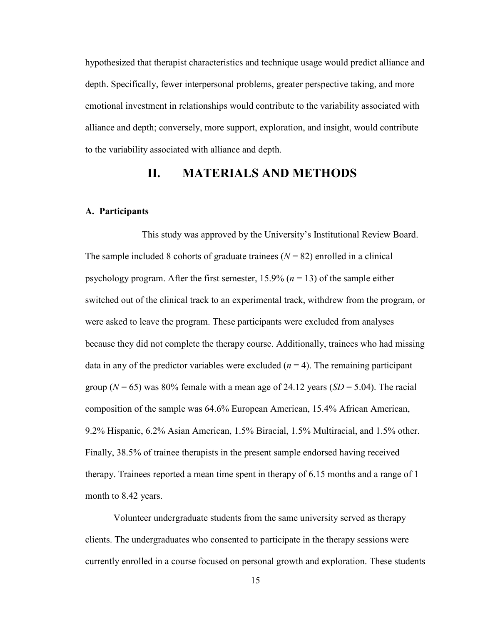hypothesized that therapist characteristics and technique usage would predict alliance and depth. Specifically, fewer interpersonal problems, greater perspective taking, and more emotional investment in relationships would contribute to the variability associated with alliance and depth; conversely, more support, exploration, and insight, would contribute to the variability associated with alliance and depth.

## **II. MATERIALS AND METHODS**

#### <span id="page-14-1"></span><span id="page-14-0"></span>**A. Participants**

This study was approved by the University's Institutional Review Board. The sample included 8 cohorts of graduate trainees  $(N = 82)$  enrolled in a clinical psychology program. After the first semester,  $15.9\%$  ( $n = 13$ ) of the sample either switched out of the clinical track to an experimental track, withdrew from the program, or were asked to leave the program. These participants were excluded from analyses because they did not complete the therapy course. Additionally, trainees who had missing data in any of the predictor variables were excluded  $(n = 4)$ . The remaining participant group  $(N = 65)$  was 80% female with a mean age of 24.12 years  $(SD = 5.04)$ . The racial composition of the sample was 64.6% European American, 15.4% African American, 9.2% Hispanic, 6.2% Asian American, 1.5% Biracial, 1.5% Multiracial, and 1.5% other. Finally, 38.5% of trainee therapists in the present sample endorsed having received therapy. Trainees reported a mean time spent in therapy of 6.15 months and a range of 1 month to 8.42 years.

Volunteer undergraduate students from the same university served as therapy clients. The undergraduates who consented to participate in the therapy sessions were currently enrolled in a course focused on personal growth and exploration. These students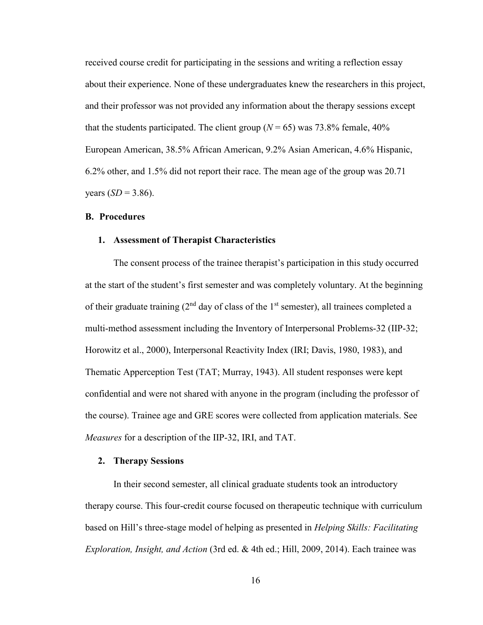received course credit for participating in the sessions and writing a reflection essay about their experience. None of these undergraduates knew the researchers in this project, and their professor was not provided any information about the therapy sessions except that the students participated. The client group ( $N = 65$ ) was 73.8% female, 40% European American, 38.5% African American, 9.2% Asian American, 4.6% Hispanic, 6.2% other, and 1.5% did not report their race. The mean age of the group was 20.71 years  $(SD = 3.86)$ .

#### <span id="page-15-0"></span>**B. Procedures**

#### <span id="page-15-1"></span>**1. Assessment of Therapist Characteristics**

The consent process of the trainee therapist's participation in this study occurred at the start of the student's first semester and was completely voluntary. At the beginning of their graduate training ( $2<sup>nd</sup>$  day of class of the 1<sup>st</sup> semester), all trainees completed a multi-method assessment including the Inventory of Interpersonal Problems-32 (IIP-32; Horowitz et al., 2000), Interpersonal Reactivity Index (IRI; Davis, 1980, 1983), and Thematic Apperception Test (TAT; Murray, 1943). All student responses were kept confidential and were not shared with anyone in the program (including the professor of the course). Trainee age and GRE scores were collected from application materials. See *Measures* for a description of the IIP-32, IRI, and TAT.

#### <span id="page-15-2"></span>**2. Therapy Sessions**

In their second semester, all clinical graduate students took an introductory therapy course. This four-credit course focused on therapeutic technique with curriculum based on Hill's three-stage model of helping as presented in *Helping Skills: Facilitating Exploration, Insight, and Action* (3rd ed. & 4th ed.; Hill, 2009, 2014). Each trainee was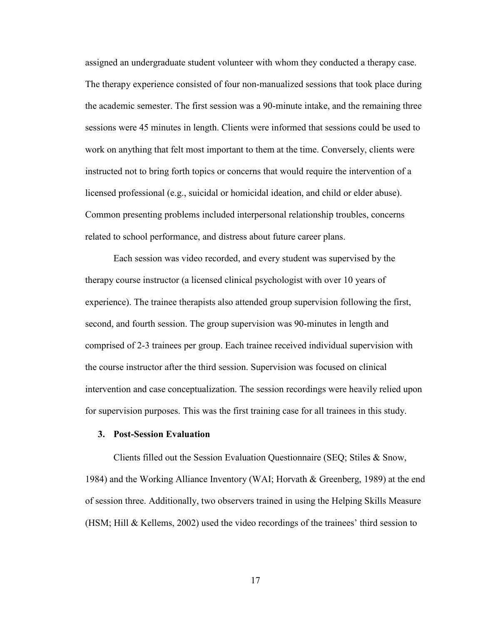assigned an undergraduate student volunteer with whom they conducted a therapy case. The therapy experience consisted of four non-manualized sessions that took place during the academic semester. The first session was a 90-minute intake, and the remaining three sessions were 45 minutes in length. Clients were informed that sessions could be used to work on anything that felt most important to them at the time. Conversely, clients were instructed not to bring forth topics or concerns that would require the intervention of a licensed professional (e.g., suicidal or homicidal ideation, and child or elder abuse). Common presenting problems included interpersonal relationship troubles, concerns related to school performance, and distress about future career plans.

Each session was video recorded, and every student was supervised by the therapy course instructor (a licensed clinical psychologist with over 10 years of experience). The trainee therapists also attended group supervision following the first, second, and fourth session. The group supervision was 90-minutes in length and comprised of 2-3 trainees per group. Each trainee received individual supervision with the course instructor after the third session. Supervision was focused on clinical intervention and case conceptualization. The session recordings were heavily relied upon for supervision purposes. This was the first training case for all trainees in this study.

#### <span id="page-16-0"></span>**3. Post-Session Evaluation**

Clients filled out the Session Evaluation Questionnaire (SEQ; Stiles & Snow, 1984) and the Working Alliance Inventory (WAI; Horvath & Greenberg, 1989) at the end of session three. Additionally, two observers trained in using the Helping Skills Measure (HSM; Hill & Kellems, 2002) used the video recordings of the trainees' third session to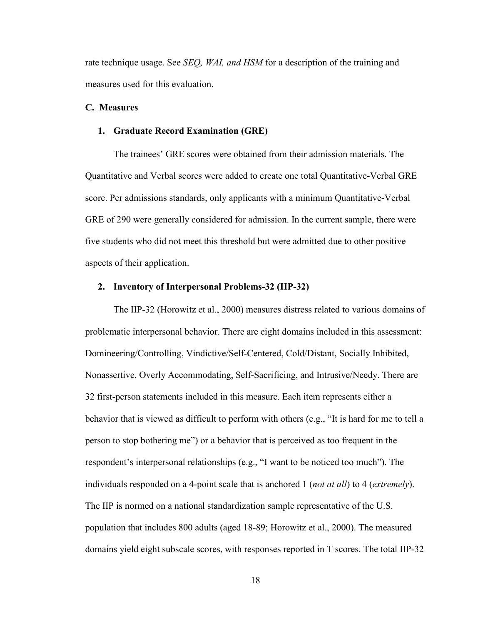rate technique usage. See *SEQ, WAI, and HSM* for a description of the training and measures used for this evaluation.

#### <span id="page-17-0"></span>**C. Measures**

#### <span id="page-17-1"></span>**1. Graduate Record Examination (GRE)**

The trainees' GRE scores were obtained from their admission materials. The Quantitative and Verbal scores were added to create one total Quantitative-Verbal GRE score. Per admissions standards, only applicants with a minimum Quantitative-Verbal GRE of 290 were generally considered for admission. In the current sample, there were five students who did not meet this threshold but were admitted due to other positive aspects of their application.

#### <span id="page-17-2"></span>**2. Inventory of Interpersonal Problems-32 (IIP-32)**

The IIP-32 (Horowitz et al., 2000) measures distress related to various domains of problematic interpersonal behavior. There are eight domains included in this assessment: Domineering/Controlling, Vindictive/Self-Centered, Cold/Distant, Socially Inhibited, Nonassertive, Overly Accommodating, Self-Sacrificing, and Intrusive/Needy. There are 32 first-person statements included in this measure. Each item represents either a behavior that is viewed as difficult to perform with others (e.g., "It is hard for me to tell a person to stop bothering me") or a behavior that is perceived as too frequent in the respondent's interpersonal relationships (e.g., "I want to be noticed too much"). The individuals responded on a 4-point scale that is anchored 1 (*not at all*) to 4 (*extremely*). The IIP is normed on a national standardization sample representative of the U.S. population that includes 800 adults (aged 18-89; Horowitz et al., 2000). The measured domains yield eight subscale scores, with responses reported in T scores. The total IIP-32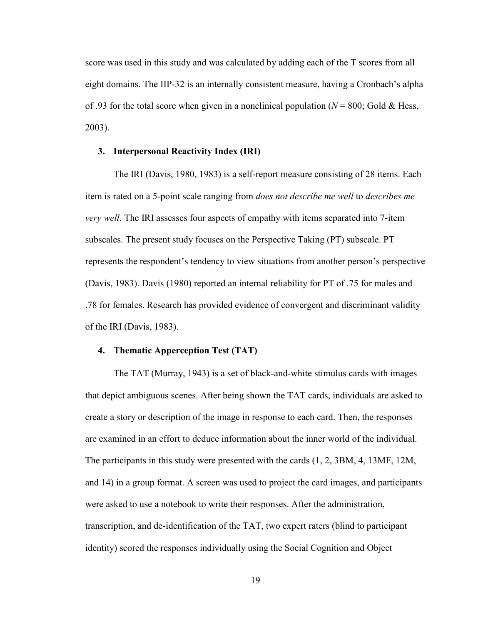score was used in this study and was calculated by adding each of the T scores from all eight domains. The IIP-32 is an internally consistent measure, having a Cronbach's alpha of .93 for the total score when given in a nonclinical population ( $N = 800$ ; Gold & Hess, 2003).

#### <span id="page-18-0"></span>**3. Interpersonal Reactivity Index (IRI)**

The IRI (Davis, 1980, 1983) is a self-report measure consisting of 28 items. Each item is rated on a 5-point scale ranging from *does not describe me well* to *describes me very well*. The IRI assesses four aspects of empathy with items separated into 7-item subscales. The present study focuses on the Perspective Taking (PT) subscale. PT represents the respondent's tendency to view situations from another person's perspective (Davis, 1983). Davis (1980) reported an internal reliability for PT of .75 for males and .78 for females. Research has provided evidence of convergent and discriminant validity of the IRI (Davis, 1983).

#### <span id="page-18-1"></span>**4. Thematic Apperception Test (TAT)**

The TAT (Murray, 1943) is a set of black-and-white stimulus cards with images that depict ambiguous scenes. After being shown the TAT cards, individuals are asked to create a story or description of the image in response to each card. Then, the responses are examined in an effort to deduce information about the inner world of the individual. The participants in this study were presented with the cards (1, 2, 3BM, 4, 13MF, 12M, and 14) in a group format. A screen was used to project the card images, and participants were asked to use a notebook to write their responses. After the administration, transcription, and de-identification of the TAT, two expert raters (blind to participant identity) scored the responses individually using the Social Cognition and Object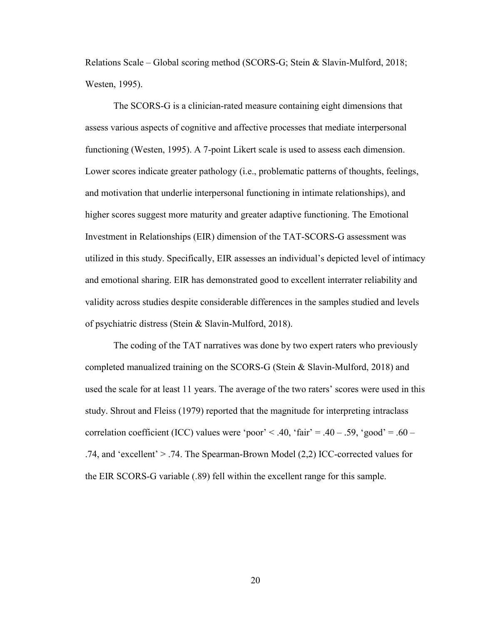Relations Scale – Global scoring method (SCORS-G; Stein & Slavin-Mulford, 2018; Westen, 1995).

The SCORS-G is a clinician-rated measure containing eight dimensions that assess various aspects of cognitive and affective processes that mediate interpersonal functioning (Westen, 1995). A 7-point Likert scale is used to assess each dimension. Lower scores indicate greater pathology (i.e., problematic patterns of thoughts, feelings, and motivation that underlie interpersonal functioning in intimate relationships), and higher scores suggest more maturity and greater adaptive functioning. The Emotional Investment in Relationships (EIR) dimension of the TAT-SCORS-G assessment was utilized in this study. Specifically, EIR assesses an individual's depicted level of intimacy and emotional sharing. EIR has demonstrated good to excellent interrater reliability and validity across studies despite considerable differences in the samples studied and levels of psychiatric distress (Stein & Slavin-Mulford, 2018).

The coding of the TAT narratives was done by two expert raters who previously completed manualized training on the SCORS-G (Stein & Slavin-Mulford, 2018) and used the scale for at least 11 years. The average of the two raters' scores were used in this study. Shrout and Fleiss (1979) reported that the magnitude for interpreting intraclass correlation coefficient (ICC) values were 'poor' < .40, 'fair' = .40 – .59, 'good' = .60 – .74, and 'excellent' > .74. The Spearman-Brown Model (2,2) ICC-corrected values for the EIR SCORS-G variable (.89) fell within the excellent range for this sample.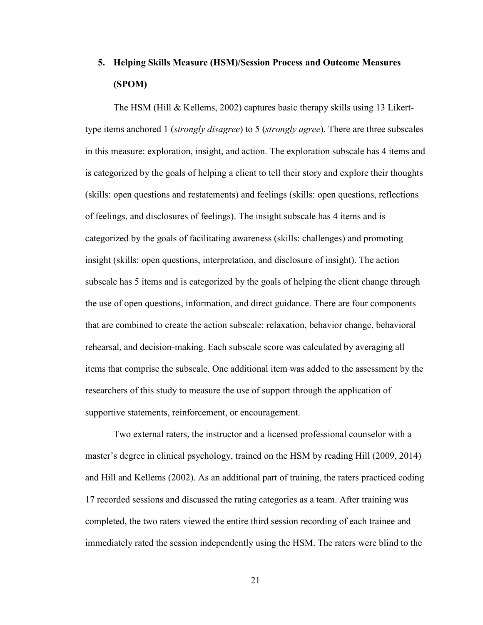## <span id="page-20-0"></span>**5. Helping Skills Measure (HSM)/Session Process and Outcome Measures (SPOM)**

The HSM (Hill & Kellems, 2002) captures basic therapy skills using 13 Likerttype items anchored 1 (*strongly disagree*) to 5 (*strongly agree*). There are three subscales in this measure: exploration, insight, and action. The exploration subscale has 4 items and is categorized by the goals of helping a client to tell their story and explore their thoughts (skills: open questions and restatements) and feelings (skills: open questions, reflections of feelings, and disclosures of feelings). The insight subscale has 4 items and is categorized by the goals of facilitating awareness (skills: challenges) and promoting insight (skills: open questions, interpretation, and disclosure of insight). The action subscale has 5 items and is categorized by the goals of helping the client change through the use of open questions, information, and direct guidance. There are four components that are combined to create the action subscale: relaxation, behavior change, behavioral rehearsal, and decision-making. Each subscale score was calculated by averaging all items that comprise the subscale. One additional item was added to the assessment by the researchers of this study to measure the use of support through the application of supportive statements, reinforcement, or encouragement.

Two external raters, the instructor and a licensed professional counselor with a master's degree in clinical psychology, trained on the HSM by reading Hill (2009, 2014) and Hill and Kellems (2002). As an additional part of training, the raters practiced coding 17 recorded sessions and discussed the rating categories as a team. After training was completed, the two raters viewed the entire third session recording of each trainee and immediately rated the session independently using the HSM. The raters were blind to the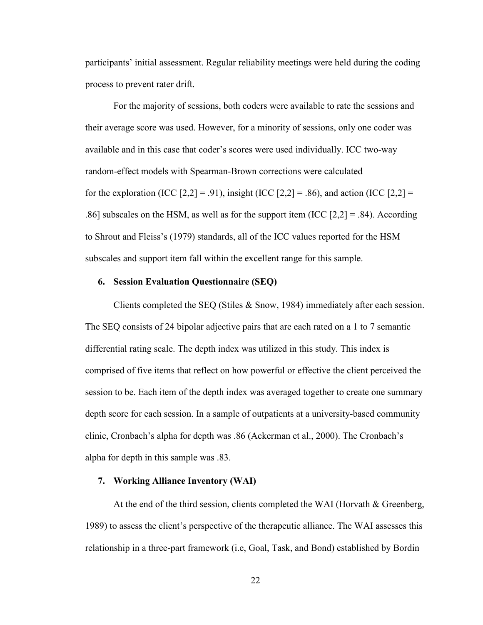participants' initial assessment. Regular reliability meetings were held during the coding process to prevent rater drift.

For the majority of sessions, both coders were available to rate the sessions and their average score was used. However, for a minority of sessions, only one coder was available and in this case that coder's scores were used individually. ICC two-way random-effect models with Spearman-Brown corrections were calculated for the exploration (ICC  $[2,2] = .91$ ), insight (ICC  $[2,2] = .86$ ), and action (ICC  $[2,2] =$ .86] subscales on the HSM, as well as for the support item (ICC  $[2,2] = .84$ ). According to Shrout and Fleiss's (1979) standards, all of the ICC values reported for the HSM subscales and support item fall within the excellent range for this sample.

#### <span id="page-21-0"></span>**6. Session Evaluation Questionnaire (SEQ)**

Clients completed the SEQ (Stiles & Snow, 1984) immediately after each session. The SEQ consists of 24 bipolar adjective pairs that are each rated on a 1 to 7 semantic differential rating scale. The depth index was utilized in this study. This index is comprised of five items that reflect on how powerful or effective the client perceived the session to be. Each item of the depth index was averaged together to create one summary depth score for each session. In a sample of outpatients at a university-based community clinic, Cronbach's alpha for depth was .86 (Ackerman et al., 2000). The Cronbach's alpha for depth in this sample was .83.

#### <span id="page-21-1"></span>**7. Working Alliance Inventory (WAI)**

At the end of the third session, clients completed the WAI (Horvath & Greenberg, 1989) to assess the client's perspective of the therapeutic alliance. The WAI assesses this relationship in a three-part framework (i.e, Goal, Task, and Bond) established by Bordin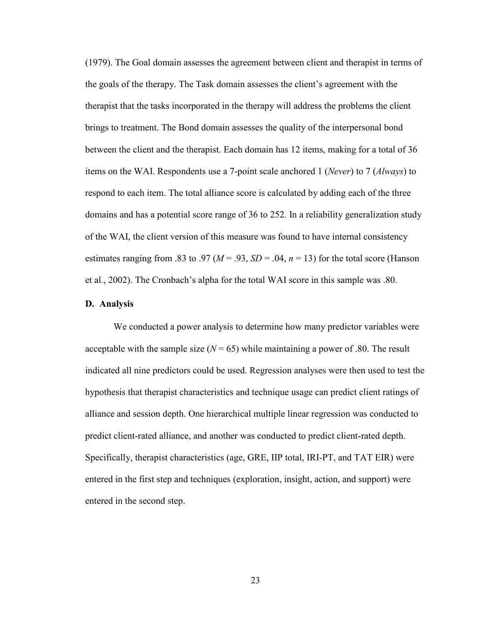(1979). The Goal domain assesses the agreement between client and therapist in terms of the goals of the therapy. The Task domain assesses the client's agreement with the therapist that the tasks incorporated in the therapy will address the problems the client brings to treatment. The Bond domain assesses the quality of the interpersonal bond between the client and the therapist. Each domain has 12 items, making for a total of 36 items on the WAI. Respondents use a 7-point scale anchored 1 (*Never*) to 7 (*Always*) to respond to each item. The total alliance score is calculated by adding each of the three domains and has a potential score range of 36 to 252. In a reliability generalization study of the WAI, the client version of this measure was found to have internal consistency estimates ranging from .83 to .97 ( $M = .93$ ,  $SD = .04$ ,  $n = 13$ ) for the total score (Hanson et al., 2002). The Cronbach's alpha for the total WAI score in this sample was .80.

#### <span id="page-22-0"></span>**D. Analysis**

We conducted a power analysis to determine how many predictor variables were acceptable with the sample size  $(N = 65)$  while maintaining a power of .80. The result indicated all nine predictors could be used. Regression analyses were then used to test the hypothesis that therapist characteristics and technique usage can predict client ratings of alliance and session depth. One hierarchical multiple linear regression was conducted to predict client-rated alliance, and another was conducted to predict client-rated depth. Specifically, therapist characteristics (age, GRE, IIP total, IRI-PT, and TAT EIR) were entered in the first step and techniques (exploration, insight, action, and support) were entered in the second step.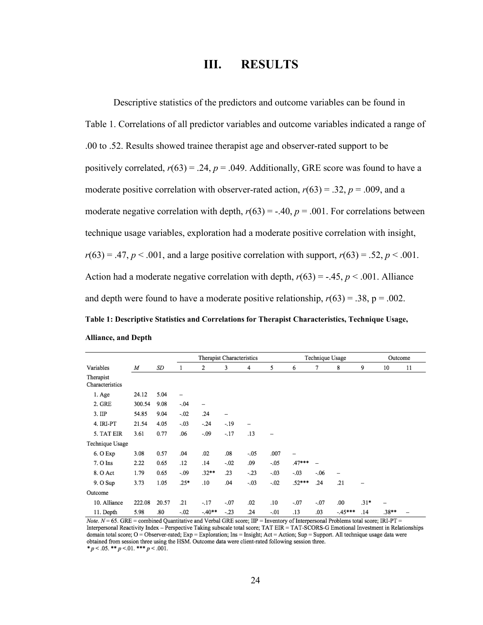## **III. RESULTS**

<span id="page-23-0"></span>Descriptive statistics of the predictors and outcome variables can be found in Table 1. Correlations of all predictor variables and outcome variables indicated a range of .00 to .52. Results showed trainee therapist age and observer-rated support to be positively correlated,  $r(63) = .24$ ,  $p = .049$ . Additionally, GRE score was found to have a moderate positive correlation with observer-rated action,  $r(63) = .32$ ,  $p = .009$ , and a moderate negative correlation with depth,  $r(63) = -.40$ ,  $p = .001$ . For correlations between technique usage variables, exploration had a moderate positive correlation with insight,  $r(63) = .47$ ,  $p < .001$ , and a large positive correlation with support,  $r(63) = .52$ ,  $p < .001$ . Action had a moderate negative correlation with depth,  $r(63) = -.45$ ,  $p < .001$ . Alliance and depth were found to have a moderate positive relationship,  $r(63) = .38$ ,  $p = .002$ . **Table 1: Descriptive Statistics and Correlations for Therapist Characteristics, Technique Usage, Alliance, and Depth**

|                              |        |       | Therapist Characteristics |         | Technique Usage |        |                          |        | Outcome |                          |        |      |                          |
|------------------------------|--------|-------|---------------------------|---------|-----------------|--------|--------------------------|--------|---------|--------------------------|--------|------|--------------------------|
| Variables                    | M      | SD    |                           | 2       | 3               | 4      | 5                        | 6      | 7       | 8                        | 9      | 10   | 11                       |
| Therapist<br>Characteristics |        |       |                           |         |                 |        |                          |        |         |                          |        |      |                          |
| 1. Age                       | 24.12  | 5.04  | -                         |         |                 |        |                          |        |         |                          |        |      |                          |
| 2. GRE                       | 300.54 | 9.08  | $-.04$                    | -       |                 |        |                          |        |         |                          |        |      |                          |
| 3. IIP                       | 54.85  | 9.04  | $-.02$                    | .24     | —               |        |                          |        |         |                          |        |      |                          |
| 4. IRI-PT                    | 21.54  | 4.05  | $-.03$                    | $-.24$  | $-.19$          | -      |                          |        |         |                          |        |      |                          |
| 5. TAT EIR                   | 3.61   | 0.77  | .06                       | $-.09$  | $-.17$          | .13    | $\overline{\phantom{0}}$ |        |         |                          |        |      |                          |
| Technique Usage              |        |       |                           |         |                 |        |                          |        |         |                          |        |      |                          |
| 6. O Exp                     | 3.08   | 0.57  | .04                       | .02     | .08             | $-.05$ | .007                     |        |         |                          |        |      |                          |
| 7. O Ins                     | 2.22   | 0.65  | .12                       | .14     | $-.02$          | .09    | $-.05$                   | .47*** |         |                          |        |      |                          |
| 8. O Act                     | 1.79   | 0.65  | $-.09$                    | $.32**$ | .23             | $-.23$ | $-.03$                   | $-.03$ | $-.06$  | $\overline{\phantom{0}}$ |        |      |                          |
| 9. O Sup                     | 3.73   | 1.05  | .25*                      | .10     | .04             | $-.03$ | $-.02$                   | .52*** | .24     | .21                      |        |      |                          |
| Outcome                      |        |       |                           |         |                 |        |                          |        |         |                          |        |      |                          |
| 10. Alliance                 | 222.08 | 20.57 | .21                       | $-.17$  | $-.07$          | .02    | .10                      | $-.07$ | $-.07$  | .00                      | $.31*$ |      |                          |
| 11 Denth                     | 5.98   | 80    | $-02$                     | $-40**$ | - 23            | 24     | $-01$                    | 13     | 03      | $-45***$                 | 14     | 38** | $\overline{\phantom{0}}$ |

Note.  $N = 65$ . GRE = combined Quantitative and Verbal GRE score; IIP = Inventory of Interpersonal Problems total score; IRI-PT = Interpersonal Reactivity Index – Perspective Taking subscale total score; TAT EIR = TAT-SCORS-G Emotional Investment in Relationships domain total score; O = Observer-rated; Exp = Exploration; Ins = Insight; Act = Action; Sup = Support. All technique usage data were obtained from session three using the HSM. Outcome data were client-rated following session three. \*  $p < .05$ . \*\*  $p < .01$ . \*\*\*  $p < .001$ .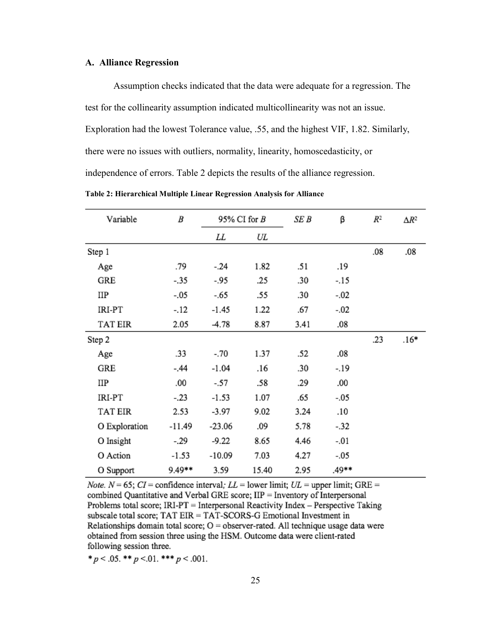#### <span id="page-24-0"></span>**A. Alliance Regression**

Assumption checks indicated that the data were adequate for a regression. The test for the collinearity assumption indicated multicollinearity was not an issue. Exploration had the lowest Tolerance value, .55, and the highest VIF, 1.82. Similarly, there were no issues with outliers, normality, linearity, homoscedasticity, or independence of errors. Table 2 depicts the results of the alliance regression.

| Variable            | B      | 95% CI for $B$ |       | SE B | β      | $\mathbb{R}^2$ | $\Delta R^2$ |
|---------------------|--------|----------------|-------|------|--------|----------------|--------------|
|                     |        | LL             | UL    |      |        |                |              |
| Step 1              |        |                |       |      |        | .08            | .08          |
| Age                 | .79    | $-24$          | 1.82  | .51  | .19    |                |              |
| GRE                 | -.35   | -.95           | .25   | .30  | -.15   |                |              |
| ПP                  | $-.05$ | -.65           | .55   | .30  | $-.02$ |                |              |
| IRI-PT              | $-.12$ | $-1.45$        | 1.22  | .67  | $-.02$ |                |              |
| <b>TAT EIR</b>      | 2.05   | -4.78          | 8.87  | 3.41 | .08    |                |              |
| Step 2              |        |                |       |      |        | .23            | $.16*$       |
| Age                 | .33    | $-.70$         | 1.37  | .52  | .08    |                |              |
| GRE                 | $-.44$ | $-1.04$        | .16   | .30  | -.19   |                |              |
| ПP                  | .00    | $-.57$         | .58   | .29  | .00    |                |              |
| IRI-PT              | $-.23$ | $-1.53$        | 1.07  | .65  | $-.05$ |                |              |
| <b>TAT EIR</b>      | 2.53   | -3.97          | 9.02  | 3.24 | .10    |                |              |
| O Exploration       | -11.49 | $-23.06$       | .09   | 5.78 | $-32$  |                |              |
| O Insight           | $-.29$ | -9.22          | 8.65  | 4.46 | $-.01$ |                |              |
| O Action<br>$-1.53$ |        | $-10.09$       | 7.03  | 4.27 | $-.05$ |                |              |
| O Support           | 9.49** | 3.59           | 15.40 | 2.95 | .49**  |                |              |

**Table 2: Hierarchical Multiple Linear Regression Analysis for Alliance**

*Note.*  $N = 65$ ;  $CI =$  confidence interval;  $LL =$  lower limit;  $UL =$  upper limit; GRE = combined Quantitative and Verbal GRE score; IIP = Inventory of Interpersonal Problems total score; IRI-PT = Interpersonal Reactivity Index - Perspective Taking subscale total score; TAT EIR = TAT-SCORS-G Emotional Investment in Relationships domain total score;  $O =$  observer-rated. All technique usage data were obtained from session three using the HSM. Outcome data were client-rated following session three.

\*  $p < .05$ . \*\*  $p < .01$ . \*\*\*  $p < .001$ .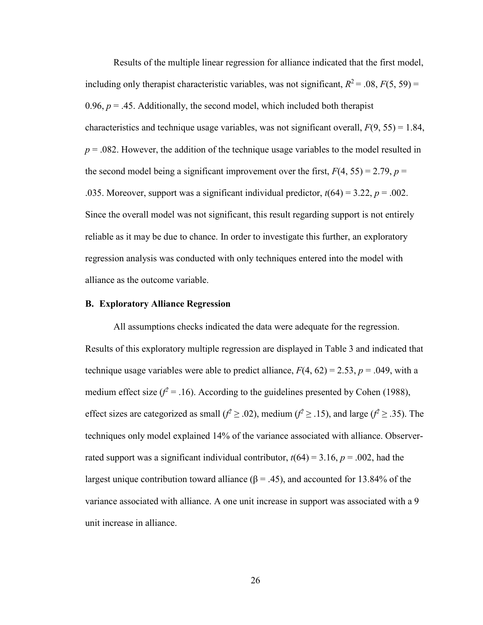Results of the multiple linear regression for alliance indicated that the first model, including only therapist characteristic variables, was not significant,  $R^2 = .08$ ,  $F(5, 59) =$ 0.96,  $p = 0.45$ . Additionally, the second model, which included both therapist characteristics and technique usage variables, was not significant overall,  $F(9, 55) = 1.84$ ,  $p = 0.082$ . However, the addition of the technique usage variables to the model resulted in the second model being a significant improvement over the first,  $F(4, 55) = 2.79$ ,  $p =$ .035. Moreover, support was a significant individual predictor,  $t(64) = 3.22$ ,  $p = .002$ . Since the overall model was not significant, this result regarding support is not entirely reliable as it may be due to chance. In order to investigate this further, an exploratory regression analysis was conducted with only techniques entered into the model with alliance as the outcome variable.

#### <span id="page-25-0"></span>**B. Exploratory Alliance Regression**

All assumptions checks indicated the data were adequate for the regression. Results of this exploratory multiple regression are displayed in Table 3 and indicated that technique usage variables were able to predict alliance,  $F(4, 62) = 2.53$ ,  $p = .049$ , with a medium effect size  $(f^2 = .16)$ . According to the guidelines presented by Cohen (1988), effect sizes are categorized as small ( $f^2 \ge 0.02$ ), medium ( $f^2 \ge 0.15$ ), and large ( $f^2 \ge 0.35$ ). The techniques only model explained 14% of the variance associated with alliance. Observerrated support was a significant individual contributor,  $t(64) = 3.16$ ,  $p = .002$ , had the largest unique contribution toward alliance (β = .45), and accounted for 13.84% of the variance associated with alliance. A one unit increase in support was associated with a 9 unit increase in alliance.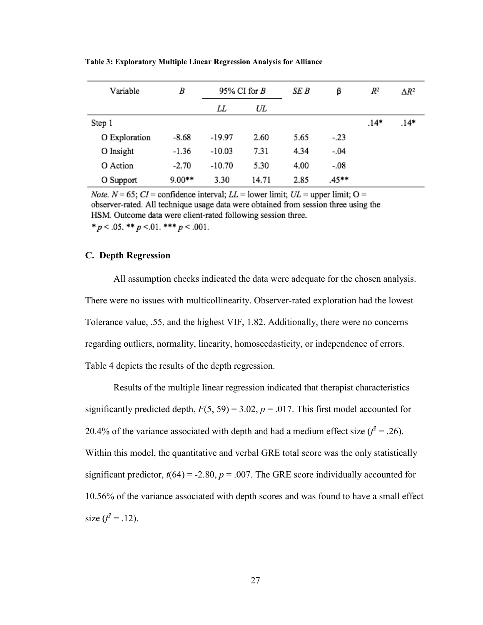| Variable              | B       | 95% CI for $B$ |       | SE B | β      | $R^2$  | $\Delta R^2$ |
|-----------------------|---------|----------------|-------|------|--------|--------|--------------|
|                       |         | UL<br>LL       |       |      |        |        |              |
| Step 1                |         |                |       |      |        | $.14*$ | .14*         |
| O Exploration         | $-8.68$ | $-19.97$       | 2.60  | 5.65 | $-.23$ |        |              |
| O Insight             | $-1.36$ | $-10.03$       | 7.31  | 4.34 | $-.04$ |        |              |
| O Action<br>$-2.70$   |         | $-10.70$       | 5.30  | 4.00 | $-.08$ |        |              |
| $9.00**$<br>O Support |         | 3.30           | 14.71 | 2.85 | .45**  |        |              |

**Table 3: Exploratory Multiple Linear Regression Analysis for Alliance**

*Note.*  $N = 65$ ;  $CI =$  confidence interval;  $LL =$  lower limit;  $UL =$  upper limit;  $O =$ observer-rated. All technique usage data were obtained from session three using the HSM. Outcome data were client-rated following session three. \*  $p < .05$ . \*\*  $p < .01$ . \*\*\*  $p < .001$ .

#### <span id="page-26-0"></span>**C. Depth Regression**

All assumption checks indicated the data were adequate for the chosen analysis. There were no issues with multicollinearity. Observer-rated exploration had the lowest Tolerance value, .55, and the highest VIF, 1.82. Additionally, there were no concerns regarding outliers, normality, linearity, homoscedasticity, or independence of errors. Table 4 depicts the results of the depth regression.

Results of the multiple linear regression indicated that therapist characteristics significantly predicted depth,  $F(5, 59) = 3.02$ ,  $p = .017$ . This first model accounted for 20.4% of the variance associated with depth and had a medium effect size  $(f^2 = .26)$ . Within this model, the quantitative and verbal GRE total score was the only statistically significant predictor,  $t(64) = -2.80$ ,  $p = .007$ . The GRE score individually accounted for 10.56% of the variance associated with depth scores and was found to have a small effect size  $(f^2 = .12)$ .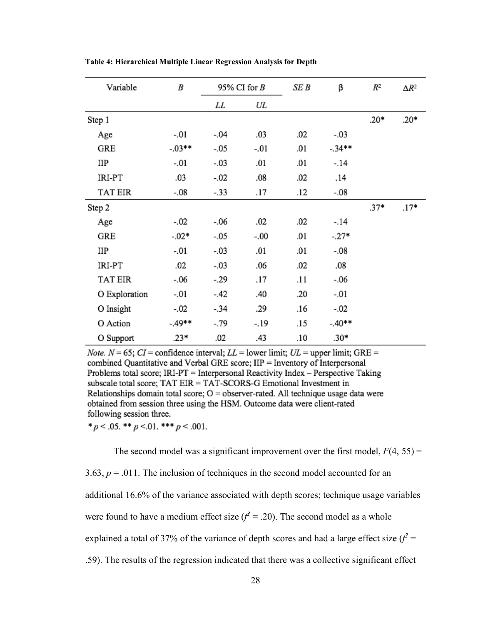| Variable       | B        | 95% CI for $B$ |         | SE B | β        | $R^2$  | $\Delta R^2$ |
|----------------|----------|----------------|---------|------|----------|--------|--------------|
|                |          | LL<br>UL       |         |      |          |        |              |
| Step 1         |          |                |         |      |          | $.20*$ | $.20*$       |
| Age            | $-.01$   | $-.04$         | .03     | .02  | $-.03$   |        |              |
| GRE            | $-.03**$ | $-.05$         | $-.01$  | .01  | $-.34**$ |        |              |
| ПP             | $-.01$   | $-.03$         | .01     | .01  | $-.14$   |        |              |
| IRI-PT         | .03      | $-.02$         | .08     | .02  | .14      |        |              |
| <b>TAT EIR</b> | $-.08$   | $-.33$         | .17     | .12  | $-.08$   |        |              |
| Step 2         |          |                |         |      |          | $.37*$ | $.17*$       |
| Age            | $-.02$   | $-0.06$        | .02     | .02  | $-.14$   |        |              |
| GRE            | $-.02*$  | $-.05$         | $-0.00$ | .01  | $-.27*$  |        |              |
| ПP             | $-.01$   | $-.03$         | .01     | .01  | $-.08$   |        |              |
| IRI-PT         | .02      | $-.03$         | .06     | .02  | .08      |        |              |
| <b>TAT EIR</b> | $-.06$   | -.29           | .17     | .11  | -.06     |        |              |
| O Exploration  | $-.01$   | -.42           | .40     | .20  | $-.01$   |        |              |
| O Insight      | $-.02$   | $-.34$         | .29     | .16  | $-.02$   |        |              |
| O Action       | -.49**   | -.79           | -.19    | .15  | $-.40**$ |        |              |
| O Support      | $.23*$   | .02            | .43     | .10  | $.30*$   |        |              |

**Table 4: Hierarchical Multiple Linear Regression Analysis for Depth**

*Note.*  $N = 65$ ;  $CI =$  confidence interval;  $LL =$  lower limit;  $UL =$  upper limit; GRE = combined Quantitative and Verbal GRE score; IIP = Inventory of Interpersonal Problems total score; IRI-PT = Interpersonal Reactivity Index - Perspective Taking subscale total score; TAT EIR = TAT-SCORS-G Emotional Investment in Relationships domain total score;  $O =$  observer-rated. All technique usage data were obtained from session three using the HSM. Outcome data were client-rated following session three.

\*  $p < .05$ . \*\*  $p < .01$ . \*\*\*  $p < .001$ .

The second model was a significant improvement over the first model,  $F(4, 55) =$ 3.63,  $p = .011$ . The inclusion of techniques in the second model accounted for an additional 16.6% of the variance associated with depth scores; technique usage variables were found to have a medium effect size  $(f^2 = .20)$ . The second model as a whole explained a total of 37% of the variance of depth scores and had a large effect size  $(f^2 = 1)$ .59). The results of the regression indicated that there was a collective significant effect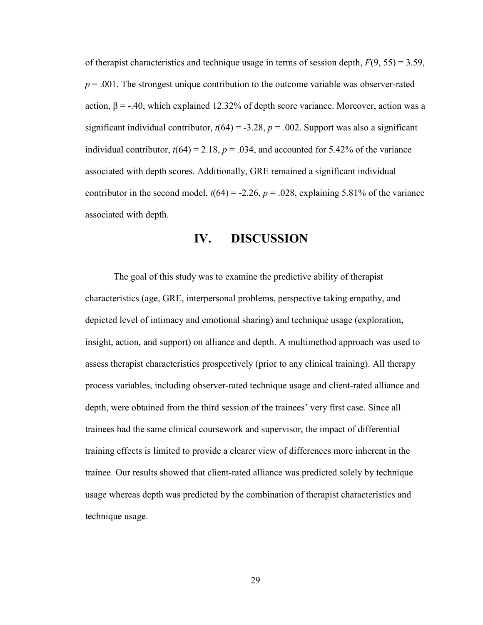of therapist characteristics and technique usage in terms of session depth, *F*(9, 55) = 3.59,  $p = .001$ . The strongest unique contribution to the outcome variable was observer-rated action,  $β = -.40$ , which explained 12.32% of depth score variance. Moreover, action was a significant individual contributor,  $t(64) = -3.28$ ,  $p = .002$ . Support was also a significant individual contributor,  $t(64) = 2.18$ ,  $p = .034$ , and accounted for 5.42% of the variance associated with depth scores. Additionally, GRE remained a significant individual contributor in the second model,  $t(64) = -2.26$ ,  $p = .028$ , explaining 5.81% of the variance associated with depth.

## **IV. DISCUSSION**

<span id="page-28-0"></span>The goal of this study was to examine the predictive ability of therapist characteristics (age, GRE, interpersonal problems, perspective taking empathy, and depicted level of intimacy and emotional sharing) and technique usage (exploration, insight, action, and support) on alliance and depth. A multimethod approach was used to assess therapist characteristics prospectively (prior to any clinical training). All therapy process variables, including observer-rated technique usage and client-rated alliance and depth, were obtained from the third session of the trainees' very first case. Since all trainees had the same clinical coursework and supervisor, the impact of differential training effects is limited to provide a clearer view of differences more inherent in the trainee. Our results showed that client-rated alliance was predicted solely by technique usage whereas depth was predicted by the combination of therapist characteristics and technique usage.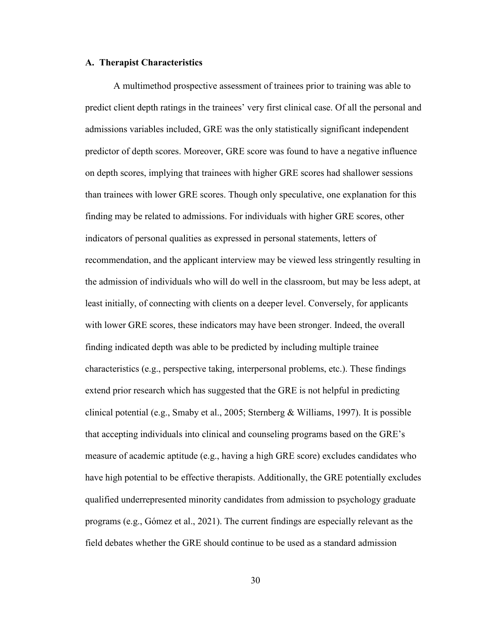#### <span id="page-29-0"></span>**A. Therapist Characteristics**

A multimethod prospective assessment of trainees prior to training was able to predict client depth ratings in the trainees' very first clinical case. Of all the personal and admissions variables included, GRE was the only statistically significant independent predictor of depth scores. Moreover, GRE score was found to have a negative influence on depth scores, implying that trainees with higher GRE scores had shallower sessions than trainees with lower GRE scores. Though only speculative, one explanation for this finding may be related to admissions. For individuals with higher GRE scores, other indicators of personal qualities as expressed in personal statements, letters of recommendation, and the applicant interview may be viewed less stringently resulting in the admission of individuals who will do well in the classroom, but may be less adept, at least initially, of connecting with clients on a deeper level. Conversely, for applicants with lower GRE scores, these indicators may have been stronger. Indeed, the overall finding indicated depth was able to be predicted by including multiple trainee characteristics (e.g., perspective taking, interpersonal problems, etc.). These findings extend prior research which has suggested that the GRE is not helpful in predicting clinical potential (e.g., Smaby et al., 2005; Sternberg & Williams, 1997). It is possible that accepting individuals into clinical and counseling programs based on the GRE's measure of academic aptitude (e.g., having a high GRE score) excludes candidates who have high potential to be effective therapists. Additionally, the GRE potentially excludes qualified underrepresented minority candidates from admission to psychology graduate programs (e.g., Gómez et al., 2021). The current findings are especially relevant as the field debates whether the GRE should continue to be used as a standard admission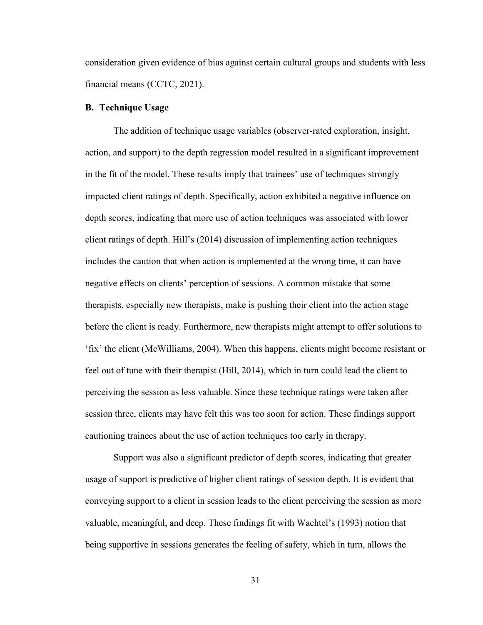consideration given evidence of bias against certain cultural groups and students with less financial means (CCTC, 2021).

#### <span id="page-30-0"></span>**B. Technique Usage**

The addition of technique usage variables (observer-rated exploration, insight, action, and support) to the depth regression model resulted in a significant improvement in the fit of the model. These results imply that trainees' use of techniques strongly impacted client ratings of depth. Specifically, action exhibited a negative influence on depth scores, indicating that more use of action techniques was associated with lower client ratings of depth. Hill's (2014) discussion of implementing action techniques includes the caution that when action is implemented at the wrong time, it can have negative effects on clients' perception of sessions. A common mistake that some therapists, especially new therapists, make is pushing their client into the action stage before the client is ready. Furthermore, new therapists might attempt to offer solutions to 'fix' the client (McWilliams, 2004). When this happens, clients might become resistant or feel out of tune with their therapist (Hill, 2014), which in turn could lead the client to perceiving the session as less valuable. Since these technique ratings were taken after session three, clients may have felt this was too soon for action. These findings support cautioning trainees about the use of action techniques too early in therapy.

Support was also a significant predictor of depth scores, indicating that greater usage of support is predictive of higher client ratings of session depth. It is evident that conveying support to a client in session leads to the client perceiving the session as more valuable, meaningful, and deep. These findings fit with Wachtel's (1993) notion that being supportive in sessions generates the feeling of safety, which in turn, allows the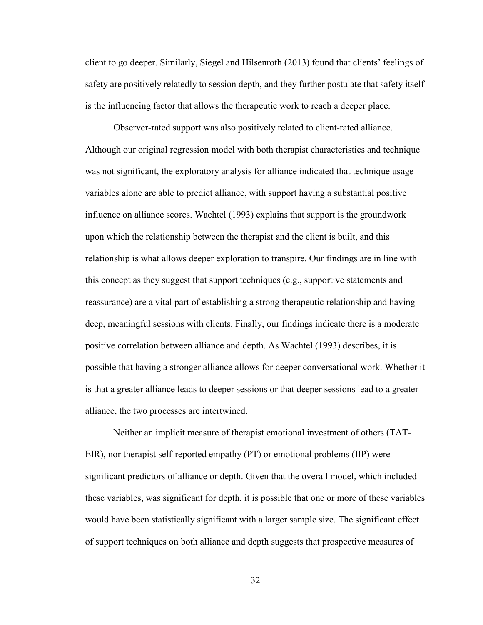client to go deeper. Similarly, Siegel and Hilsenroth (2013) found that clients' feelings of safety are positively relatedly to session depth, and they further postulate that safety itself is the influencing factor that allows the therapeutic work to reach a deeper place.

Observer-rated support was also positively related to client-rated alliance. Although our original regression model with both therapist characteristics and technique was not significant, the exploratory analysis for alliance indicated that technique usage variables alone are able to predict alliance, with support having a substantial positive influence on alliance scores. Wachtel (1993) explains that support is the groundwork upon which the relationship between the therapist and the client is built, and this relationship is what allows deeper exploration to transpire. Our findings are in line with this concept as they suggest that support techniques (e.g., supportive statements and reassurance) are a vital part of establishing a strong therapeutic relationship and having deep, meaningful sessions with clients. Finally, our findings indicate there is a moderate positive correlation between alliance and depth. As Wachtel (1993) describes, it is possible that having a stronger alliance allows for deeper conversational work. Whether it is that a greater alliance leads to deeper sessions or that deeper sessions lead to a greater alliance, the two processes are intertwined.

Neither an implicit measure of therapist emotional investment of others (TAT-EIR), nor therapist self-reported empathy (PT) or emotional problems (IIP) were significant predictors of alliance or depth. Given that the overall model, which included these variables, was significant for depth, it is possible that one or more of these variables would have been statistically significant with a larger sample size. The significant effect of support techniques on both alliance and depth suggests that prospective measures of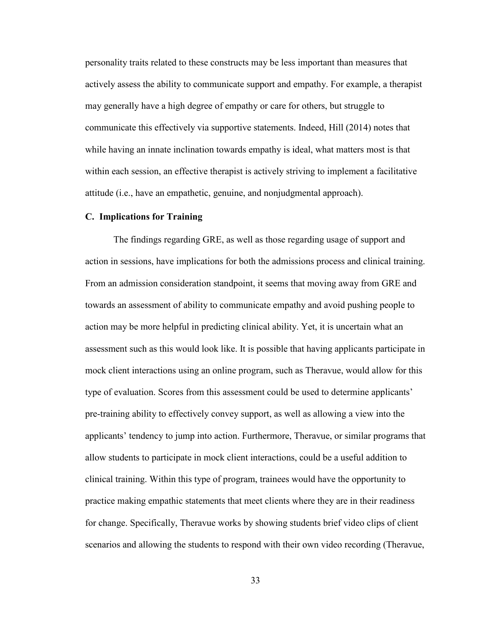personality traits related to these constructs may be less important than measures that actively assess the ability to communicate support and empathy. For example, a therapist may generally have a high degree of empathy or care for others, but struggle to communicate this effectively via supportive statements. Indeed, Hill (2014) notes that while having an innate inclination towards empathy is ideal, what matters most is that within each session, an effective therapist is actively striving to implement a facilitative attitude (i.e., have an empathetic, genuine, and nonjudgmental approach).

#### <span id="page-32-0"></span>**C. Implications for Training**

The findings regarding GRE, as well as those regarding usage of support and action in sessions, have implications for both the admissions process and clinical training. From an admission consideration standpoint, it seems that moving away from GRE and towards an assessment of ability to communicate empathy and avoid pushing people to action may be more helpful in predicting clinical ability. Yet, it is uncertain what an assessment such as this would look like. It is possible that having applicants participate in mock client interactions using an online program, such as Theravue, would allow for this type of evaluation. Scores from this assessment could be used to determine applicants' pre-training ability to effectively convey support, as well as allowing a view into the applicants' tendency to jump into action. Furthermore, Theravue, or similar programs that allow students to participate in mock client interactions, could be a useful addition to clinical training. Within this type of program, trainees would have the opportunity to practice making empathic statements that meet clients where they are in their readiness for change. Specifically, Theravue works by showing students brief video clips of client scenarios and allowing the students to respond with their own video recording (Theravue,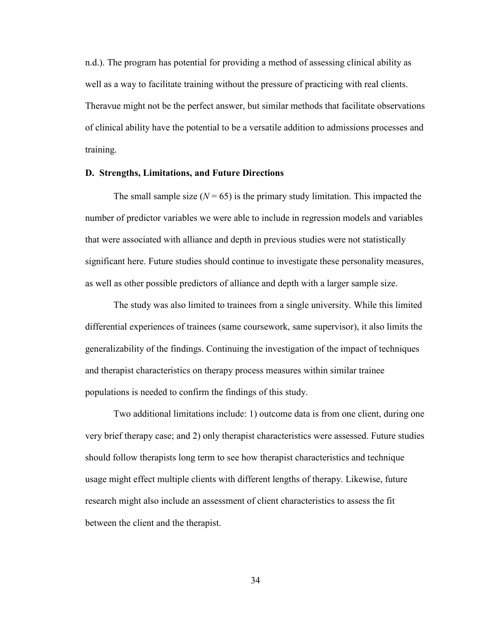n.d.). The program has potential for providing a method of assessing clinical ability as well as a way to facilitate training without the pressure of practicing with real clients. Theravue might not be the perfect answer, but similar methods that facilitate observations of clinical ability have the potential to be a versatile addition to admissions processes and training.

#### <span id="page-33-0"></span>**D. Strengths, Limitations, and Future Directions**

The small sample size  $(N = 65)$  is the primary study limitation. This impacted the number of predictor variables we were able to include in regression models and variables that were associated with alliance and depth in previous studies were not statistically significant here. Future studies should continue to investigate these personality measures, as well as other possible predictors of alliance and depth with a larger sample size.

The study was also limited to trainees from a single university. While this limited differential experiences of trainees (same coursework, same supervisor), it also limits the generalizability of the findings. Continuing the investigation of the impact of techniques and therapist characteristics on therapy process measures within similar trainee populations is needed to confirm the findings of this study.

Two additional limitations include: 1) outcome data is from one client, during one very brief therapy case; and 2) only therapist characteristics were assessed. Future studies should follow therapists long term to see how therapist characteristics and technique usage might effect multiple clients with different lengths of therapy. Likewise, future research might also include an assessment of client characteristics to assess the fit between the client and the therapist.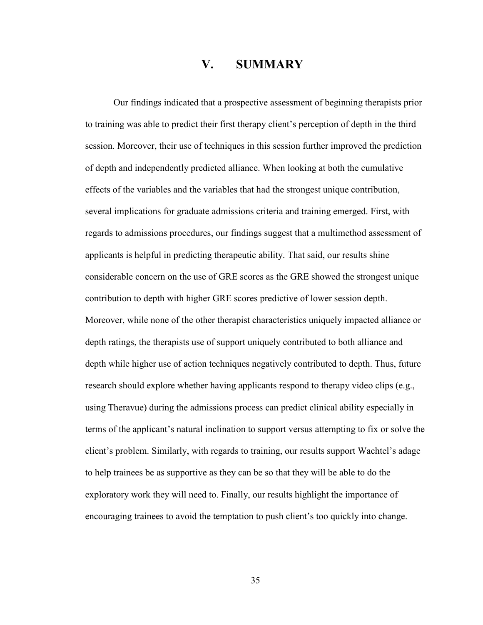### **V. SUMMARY**

<span id="page-34-0"></span>Our findings indicated that a prospective assessment of beginning therapists prior to training was able to predict their first therapy client's perception of depth in the third session. Moreover, their use of techniques in this session further improved the prediction of depth and independently predicted alliance. When looking at both the cumulative effects of the variables and the variables that had the strongest unique contribution, several implications for graduate admissions criteria and training emerged. First, with regards to admissions procedures, our findings suggest that a multimethod assessment of applicants is helpful in predicting therapeutic ability. That said, our results shine considerable concern on the use of GRE scores as the GRE showed the strongest unique contribution to depth with higher GRE scores predictive of lower session depth. Moreover, while none of the other therapist characteristics uniquely impacted alliance or depth ratings, the therapists use of support uniquely contributed to both alliance and depth while higher use of action techniques negatively contributed to depth. Thus, future research should explore whether having applicants respond to therapy video clips (e.g., using Theravue) during the admissions process can predict clinical ability especially in terms of the applicant's natural inclination to support versus attempting to fix or solve the client's problem. Similarly, with regards to training, our results support Wachtel's adage to help trainees be as supportive as they can be so that they will be able to do the exploratory work they will need to. Finally, our results highlight the importance of encouraging trainees to avoid the temptation to push client's too quickly into change.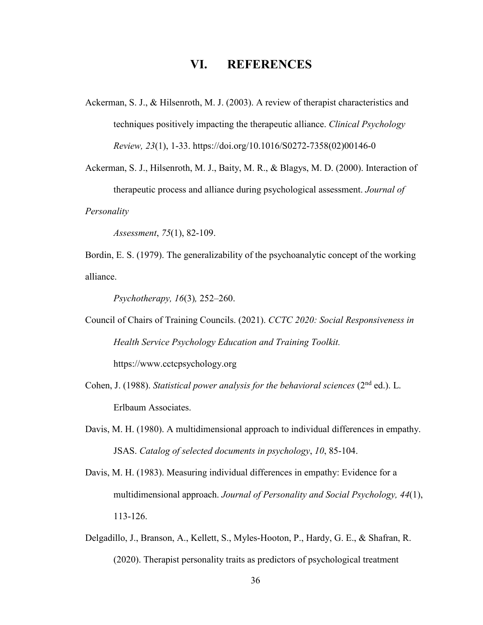## **VI. REFERENCES**

<span id="page-35-0"></span>Ackerman, S. J., & Hilsenroth, M. J. (2003). A review of therapist characteristics and techniques positively impacting the therapeutic alliance. *Clinical Psychology Review, 23*(1), 1-33. https://doi.org/10.1016/S0272-7358(02)00146-0

Ackerman, S. J., Hilsenroth, M. J., Baity, M. R., & Blagys, M. D. (2000). Interaction of therapeutic process and alliance during psychological assessment. *Journal of Personality* 

*Assessment*, *75*(1), 82-109.

Bordin, E. S. (1979). The generalizability of the psychoanalytic concept of the working alliance.

*Psychotherapy, 16*(3)*,* 252–260.

Council of Chairs of Training Councils. (2021). *CCTC 2020: Social Responsiveness in Health Service Psychology Education and Training Toolkit.* https://www.cctcpsychology.org

Cohen, J. (1988). *Statistical power analysis for the behavioral sciences* (2nd ed.). L. Erlbaum Associates.

- Davis, M. H. (1980). A multidimensional approach to individual differences in empathy. JSAS. *Catalog of selected documents in psychology*, *10*, 85-104.
- Davis, M. H. (1983). Measuring individual differences in empathy: Evidence for a multidimensional approach. *Journal of Personality and Social Psychology, 44*(1), 113-126.
- Delgadillo, J., Branson, A., Kellett, S., Myles-Hooton, P., Hardy, G. E., & Shafran, R. (2020). Therapist personality traits as predictors of psychological treatment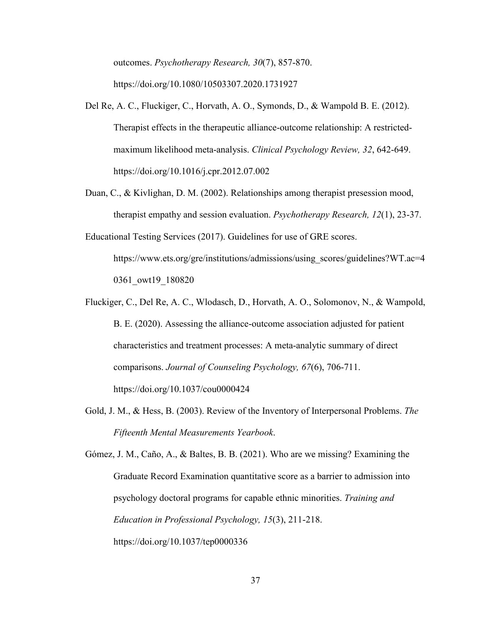outcomes. *Psychotherapy Research, 30*(7), 857-870. https://doi.org/10.1080/10503307.2020.1731927

- Del Re, A. C., Fluckiger, C., Horvath, A. O., Symonds, D., & Wampold B. E. (2012). Therapist effects in the therapeutic alliance-outcome relationship: A restrictedmaximum likelihood meta-analysis. *Clinical Psychology Review, 32*, 642-649. https://doi.org/10.1016/j.cpr.2012.07.002
- Duan, C., & Kivlighan, D. M. (2002). Relationships among therapist presession mood, therapist empathy and session evaluation. *Psychotherapy Research, 12*(1), 23-37.
- Educational Testing Services (2017). Guidelines for use of GRE scores. https://www.ets.org/gre/institutions/admissions/using\_scores/guidelines?WT.ac=4 0361\_owt19\_180820
- Fluckiger, C., Del Re, A. C., Wlodasch, D., Horvath, A. O., Solomonov, N., & Wampold, B. E. (2020). Assessing the alliance-outcome association adjusted for patient characteristics and treatment processes: A meta-analytic summary of direct comparisons. *Journal of Counseling Psychology, 67*(6), 706-711. https://doi.org/10.1037/cou0000424
- Gold, J. M., & Hess, B. (2003). Review of the Inventory of Interpersonal Problems. *The Fifteenth Mental Measurements Yearbook*.

Gómez, J. M., Caño, A., & Baltes, B. B. (2021). Who are we missing? Examining the Graduate Record Examination quantitative score as a barrier to admission into psychology doctoral programs for capable ethnic minorities. *Training and Education in Professional Psychology, 15*(3), 211-218. https://doi.org/10.1037/tep0000336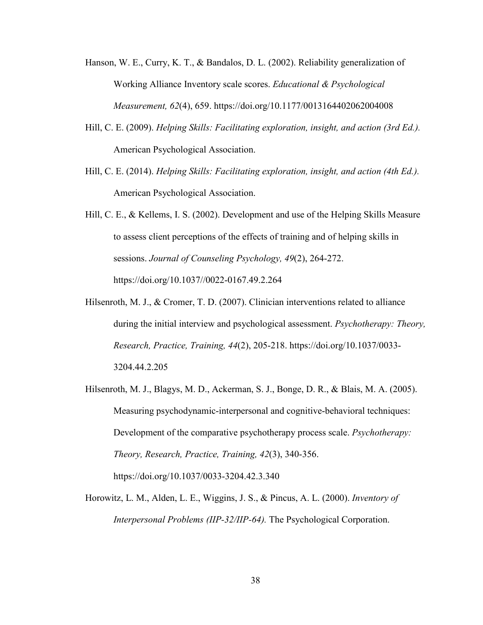- Hanson, W. E., Curry, K. T., & Bandalos, D. L. (2002). Reliability generalization of Working Alliance Inventory scale scores. *Educational & Psychological Measurement, 62*(4), 659. https://doi.org/10.1177/0013164402062004008
- Hill, C. E. (2009). *Helping Skills: Facilitating exploration, insight, and action (3rd Ed.).*  American Psychological Association.
- Hill, C. E. (2014). *Helping Skills: Facilitating exploration, insight, and action (4th Ed.).*  American Psychological Association.
- Hill, C. E., & Kellems, I. S. (2002). Development and use of the Helping Skills Measure to assess client perceptions of the effects of training and of helping skills in sessions. *Journal of Counseling Psychology, 49*(2), 264-272. https://doi.org/10.1037//0022-0167.49.2.264
- Hilsenroth, M. J., & Cromer, T. D. (2007). Clinician interventions related to alliance during the initial interview and psychological assessment. *Psychotherapy: Theory, Research, Practice, Training, 44*(2), 205-218. https://doi.org/10.1037/0033- 3204.44.2.205
- Hilsenroth, M. J., Blagys, M. D., Ackerman, S. J., Bonge, D. R., & Blais, M. A. (2005). Measuring psychodynamic-interpersonal and cognitive-behavioral techniques: Development of the comparative psychotherapy process scale. *Psychotherapy: Theory, Research, Practice, Training, 42*(3), 340-356. https://doi.org/10.1037/0033-3204.42.3.340
- Horowitz, L. M., Alden, L. E., Wiggins, J. S., & Pincus, A. L. (2000). *Inventory of Interpersonal Problems (IIP-32/IIP-64).* The Psychological Corporation.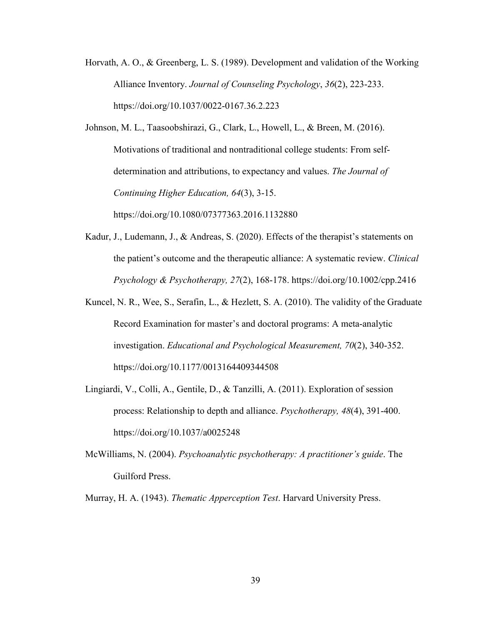Horvath, A. O., & Greenberg, L. S. (1989). Development and validation of the Working Alliance Inventory. *Journal of Counseling Psychology*, *36*(2), 223-233. https://doi.org/10.1037/0022-0167.36.2.223

Johnson, M. L., Taasoobshirazi, G., Clark, L., Howell, L., & Breen, M. (2016). Motivations of traditional and nontraditional college students: From selfdetermination and attributions, to expectancy and values. *The Journal of Continuing Higher Education, 64*(3), 3-15.

https://doi.org/10.1080/07377363.2016.1132880

- Kadur, J., Ludemann, J., & Andreas, S. (2020). Effects of the therapist's statements on the patient's outcome and the therapeutic alliance: A systematic review. *Clinical Psychology & Psychotherapy, 27*(2), 168-178. https://doi.org/10.1002/cpp.2416
- Kuncel, N. R., Wee, S., Serafin, L., & Hezlett, S. A. (2010). The validity of the Graduate Record Examination for master's and doctoral programs: A meta-analytic investigation. *Educational and Psychological Measurement, 70*(2), 340-352. https://doi.org/10.1177/0013164409344508
- Lingiardi, V., Colli, A., Gentile, D., & Tanzilli, A. (2011). Exploration of session process: Relationship to depth and alliance. *Psychotherapy, 48*(4), 391-400. https://doi.org/10.1037/a0025248
- McWilliams, N. (2004). *Psychoanalytic psychotherapy: A practitioner's guide*. The Guilford Press.

Murray, H. A. (1943). *Thematic Apperception Test*. Harvard University Press.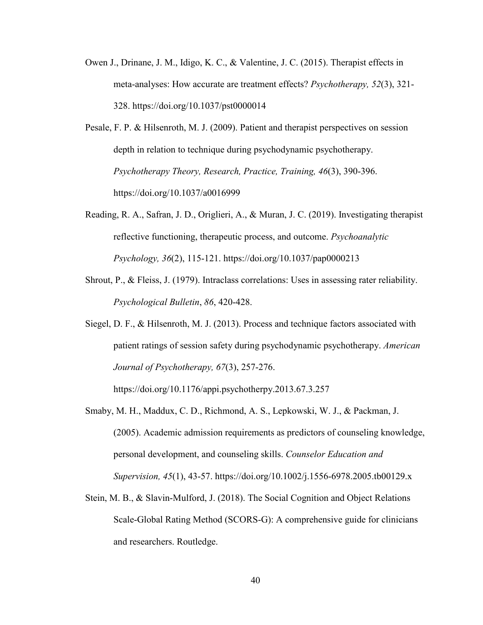- Owen J., Drinane, J. M., Idigo, K. C., & Valentine, J. C. (2015). Therapist effects in meta-analyses: How accurate are treatment effects? *Psychotherapy, 52*(3), 321- 328. https://doi.org/10.1037/pst0000014
- Pesale, F. P. & Hilsenroth, M. J. (2009). Patient and therapist perspectives on session depth in relation to technique during psychodynamic psychotherapy. *Psychotherapy Theory, Research, Practice, Training, 46*(3), 390-396. https://doi.org/10.1037/a0016999
- Reading, R. A., Safran, J. D., Origlieri, A., & Muran, J. C. (2019). Investigating therapist reflective functioning, therapeutic process, and outcome. *Psychoanalytic Psychology, 36*(2), 115-121. https://doi.org/10.1037/pap0000213
- Shrout, P., & Fleiss, J. (1979). Intraclass correlations: Uses in assessing rater reliability. *Psychological Bulletin*, *86*, 420-428.
- Siegel, D. F., & Hilsenroth, M. J. (2013). Process and technique factors associated with patient ratings of session safety during psychodynamic psychotherapy. *American Journal of Psychotherapy, 67*(3), 257-276.

https://doi.org/10.1176/appi.psychotherpy.2013.67.3.257

- Smaby, M. H., Maddux, C. D., Richmond, A. S., Lepkowski, W. J., & Packman, J. (2005). Academic admission requirements as predictors of counseling knowledge, personal development, and counseling skills. *Counselor Education and Supervision, 45*(1), 43-57. https://doi.org/10.1002/j.1556-6978.2005.tb00129.x
- Stein, M. B., & Slavin-Mulford, J. (2018). The Social Cognition and Object Relations Scale-Global Rating Method (SCORS-G): A comprehensive guide for clinicians and researchers. Routledge.